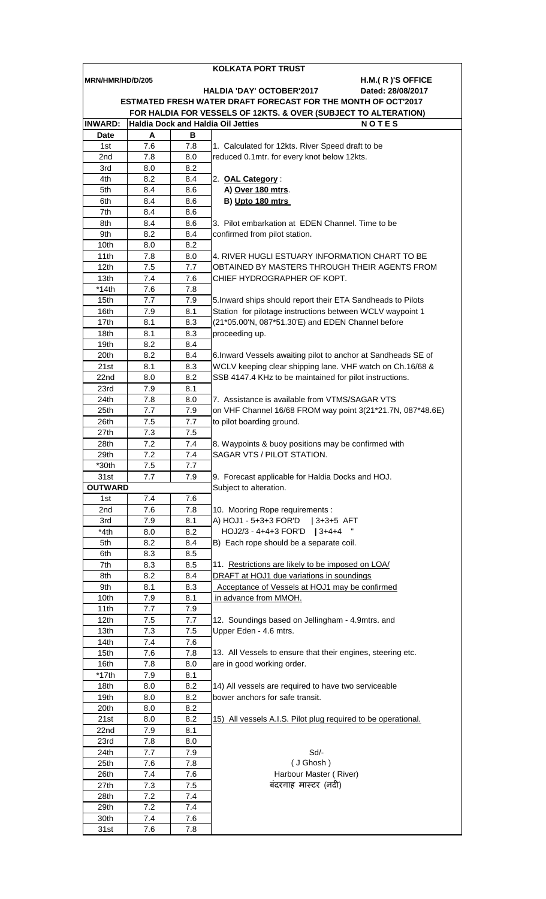|                                                               | KOLKATA PORT TRUST                                                                                           |            |                                                               |  |  |  |  |  |
|---------------------------------------------------------------|--------------------------------------------------------------------------------------------------------------|------------|---------------------------------------------------------------|--|--|--|--|--|
| MRN/HMR/HD/D/205                                              |                                                                                                              |            | H.M.(R)'S OFFICE                                              |  |  |  |  |  |
|                                                               |                                                                                                              |            | <b>HALDIA 'DAY' OCTOBER'2017</b><br>Dated: 28/08/2017         |  |  |  |  |  |
| ESTMATED FRESH WATER DRAFT FORECAST FOR THE MONTH OF OCT'2017 |                                                                                                              |            |                                                               |  |  |  |  |  |
| <b>INWARD:</b>                                                | FOR HALDIA FOR VESSELS OF 12KTS. & OVER (SUBJECT TO ALTERATION)<br><b>Haldia Dock and Haldia Oil Jetties</b> |            |                                                               |  |  |  |  |  |
| Date                                                          | A                                                                                                            | в          | <b>NOTES</b>                                                  |  |  |  |  |  |
| 1st                                                           | 7.6                                                                                                          | 7.8        | 1. Calculated for 12kts. River Speed draft to be              |  |  |  |  |  |
| 2nd                                                           | 7.8                                                                                                          | 8.0        | reduced 0.1mtr. for every knot below 12kts.                   |  |  |  |  |  |
| 3rd                                                           | 8.0                                                                                                          | 8.2        |                                                               |  |  |  |  |  |
| 4th                                                           | 8.2                                                                                                          | 8.4        | 2. OAL Category:                                              |  |  |  |  |  |
| 5th                                                           | 8.4                                                                                                          | 8.6        | A) Over 180 mtrs.                                             |  |  |  |  |  |
| 6th                                                           | 8.4                                                                                                          | 8.6        | B) Upto 180 mtrs                                              |  |  |  |  |  |
| 7th                                                           | 8.4                                                                                                          | 8.6        |                                                               |  |  |  |  |  |
| 8th                                                           | 8.4                                                                                                          | 8.6        | 3. Pilot embarkation at EDEN Channel. Time to be              |  |  |  |  |  |
| 9th                                                           | 8.2                                                                                                          | 8.4        | confirmed from pilot station.                                 |  |  |  |  |  |
| 10th                                                          | 8.0                                                                                                          | 8.2        |                                                               |  |  |  |  |  |
| 11th                                                          | 7.8                                                                                                          | 8.0        | 4. RIVER HUGLI ESTUARY INFORMATION CHART TO BE                |  |  |  |  |  |
| 12 <sub>th</sub>                                              | 7.5                                                                                                          | 7.7        | OBTAINED BY MASTERS THROUGH THEIR AGENTS FROM                 |  |  |  |  |  |
| 13th                                                          | 7.4                                                                                                          | 7.6        | CHIEF HYDROGRAPHER OF KOPT.                                   |  |  |  |  |  |
| $*14th$                                                       | 7.6                                                                                                          | 7.8        |                                                               |  |  |  |  |  |
| 15th                                                          | 7.7                                                                                                          | 7.9        | 5. Inward ships should report their ETA Sandheads to Pilots   |  |  |  |  |  |
| 16th                                                          | 7.9                                                                                                          | 8.1        | Station for pilotage instructions between WCLV waypoint 1     |  |  |  |  |  |
| 17th                                                          | 8.1                                                                                                          | 8.3        | (21*05.00'N, 087*51.30'E) and EDEN Channel before             |  |  |  |  |  |
| 18th<br>19th                                                  | 8.1<br>8.2                                                                                                   | 8.3<br>8.4 | proceeding up.                                                |  |  |  |  |  |
| 20th                                                          | 8.2                                                                                                          | 8.4        | 6. Inward Vessels awaiting pilot to anchor at Sandheads SE of |  |  |  |  |  |
| 21st                                                          | 8.1                                                                                                          | 8.3        | WCLV keeping clear shipping lane. VHF watch on Ch.16/68 &     |  |  |  |  |  |
| 22nd                                                          | 8.0                                                                                                          | 8.2        | SSB 4147.4 KHz to be maintained for pilot instructions.       |  |  |  |  |  |
| 23rd                                                          | 7.9                                                                                                          | 8.1        |                                                               |  |  |  |  |  |
| 24th                                                          | 7.8                                                                                                          | 8.0        | 7. Assistance is available from VTMS/SAGAR VTS                |  |  |  |  |  |
| 25th                                                          | 7.7                                                                                                          | 7.9        | on VHF Channel 16/68 FROM way point 3(21*21.7N, 087*48.6E)    |  |  |  |  |  |
| 26th                                                          | 7.5                                                                                                          | 7.7        | to pilot boarding ground.                                     |  |  |  |  |  |
| 27th                                                          | 7.3                                                                                                          | 7.5        |                                                               |  |  |  |  |  |
| 28th                                                          | 7.2                                                                                                          | 7.4        | 8. Waypoints & buoy positions may be confirmed with           |  |  |  |  |  |
| 29th                                                          | 7.2                                                                                                          | 7.4        | SAGAR VTS / PILOT STATION.                                    |  |  |  |  |  |
| $*30th$                                                       | $7.5\,$                                                                                                      | 7.7        |                                                               |  |  |  |  |  |
| 31st                                                          | 7.7                                                                                                          | 7.9        | 9. Forecast applicable for Haldia Docks and HOJ.              |  |  |  |  |  |
| <b>OUTWARD</b>                                                |                                                                                                              |            | Subject to alteration.                                        |  |  |  |  |  |
| 1st                                                           | 7.4                                                                                                          | 7.6        |                                                               |  |  |  |  |  |
| 2nd                                                           | 7.6                                                                                                          | 7.8        | 10. Mooring Rope requirements :                               |  |  |  |  |  |
| 3rd                                                           | 7.9                                                                                                          | 8.1        | A) HOJ1 - 5+3+3 FOR'D<br>$ 3+3+5$ AFT                         |  |  |  |  |  |
| *4th                                                          | 8.0                                                                                                          | 8.2        | HOJ2/3 - 4+4+3 FOR'D   3+4+4                                  |  |  |  |  |  |
| 5th                                                           | 8.2                                                                                                          | 8.4        | B) Each rope should be a separate coil.                       |  |  |  |  |  |
| 6th<br>7th                                                    | 8.3<br>8.3                                                                                                   | 8.5<br>8.5 | 11. Restrictions are likely to be imposed on LOA/             |  |  |  |  |  |
| 8th                                                           | 8.2                                                                                                          | 8.4        | DRAFT at HOJ1 due variations in soundings                     |  |  |  |  |  |
| 9th                                                           | 8.1                                                                                                          | 8.3        | Acceptance of Vessels at HOJ1 may be confirmed                |  |  |  |  |  |
| 10th                                                          | 7.9                                                                                                          | 8.1        | in advance from MMOH.                                         |  |  |  |  |  |
| 11th                                                          | 7.7                                                                                                          | 7.9        |                                                               |  |  |  |  |  |
| 12th                                                          | 7.5                                                                                                          | 7.7        | 12. Soundings based on Jellingham - 4.9mtrs. and              |  |  |  |  |  |
| 13th                                                          | 7.3                                                                                                          | 7.5        | Upper Eden - 4.6 mtrs.                                        |  |  |  |  |  |
| 14th                                                          | 7.4                                                                                                          | 7.6        |                                                               |  |  |  |  |  |
| 15th                                                          | 7.6                                                                                                          | 7.8        | 13. All Vessels to ensure that their engines, steering etc.   |  |  |  |  |  |
| 16th                                                          | 7.8                                                                                                          | 8.0        | are in good working order.                                    |  |  |  |  |  |
| $*17th$                                                       | 7.9                                                                                                          | 8.1        |                                                               |  |  |  |  |  |
| 18th                                                          | 8.0                                                                                                          | 8.2        | 14) All vessels are required to have two serviceable          |  |  |  |  |  |
| 19th                                                          | 8.0                                                                                                          | 8.2        | bower anchors for safe transit.                               |  |  |  |  |  |
| 20th                                                          | 8.0                                                                                                          | 8.2        |                                                               |  |  |  |  |  |
| 21st                                                          | 8.0                                                                                                          | 8.2        | 15) All vessels A.I.S. Pilot plug required to be operational. |  |  |  |  |  |
| 22nd                                                          | 7.9                                                                                                          | 8.1        |                                                               |  |  |  |  |  |
| 23rd                                                          | 7.8                                                                                                          | 8.0        |                                                               |  |  |  |  |  |
| 24th<br>25th                                                  | 7.7                                                                                                          | 7.9        | Sd/-<br>(J Ghosh)                                             |  |  |  |  |  |
| 26th                                                          | 7.6<br>7.4                                                                                                   | 7.8<br>7.6 | Harbour Master (River)                                        |  |  |  |  |  |
| 27th                                                          | 7.3                                                                                                          | 7.5        | बंदरगाह मास्टर (नदी)                                          |  |  |  |  |  |
| 28th                                                          | 7.2                                                                                                          | 7.4        |                                                               |  |  |  |  |  |
| 29th                                                          | 7.2                                                                                                          | 7.4        |                                                               |  |  |  |  |  |
| 30th                                                          | 7.4                                                                                                          | 7.6        |                                                               |  |  |  |  |  |
| 31st                                                          | 7.6                                                                                                          | 7.8        |                                                               |  |  |  |  |  |